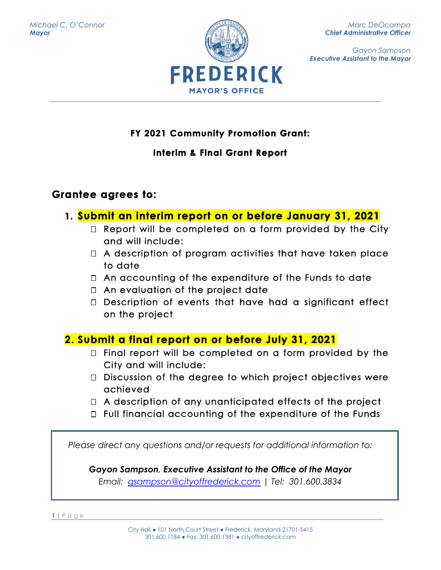

*Gayon Sampson Executive Assistant to the Mayor*

### FY 2021 Community Promotion Grant:

### **Interim & Final Grant Report**

### **Grantee agrees to:**

## 1. Submit an interim report on or before January 31, 2021

- $\Box$  Report will be completed on a form provided by the City and will include:
- $\Box$  A description of program activities that have taken place to date
- $\Box$  An accounting of the expenditure of the Funds to date
- $\Box$  An evaluation of the project date
- □ Description of events that have had a significant effect on the project

### 2. Submit a final report on or before July 31, 2021

- $\Box$  Final report will be completed on a form provided by the City and will include:
- $\Box$  Discussion of the degree to which project objectives were achieved
- $\Box$  A description of any unanticipated effects of the project
- □ Full financial accounting of the expenditure of the Funds

*Please direct any questions and/or requests for additional information to:*

*Gayon Sampson, Executive Assistant to the Office of the Mayor Email: [gsampson@cityoffrederick.com](mailto:gsampson@cityoffrederick.com) | Tel: 301.600.3834*

**1** | P a g e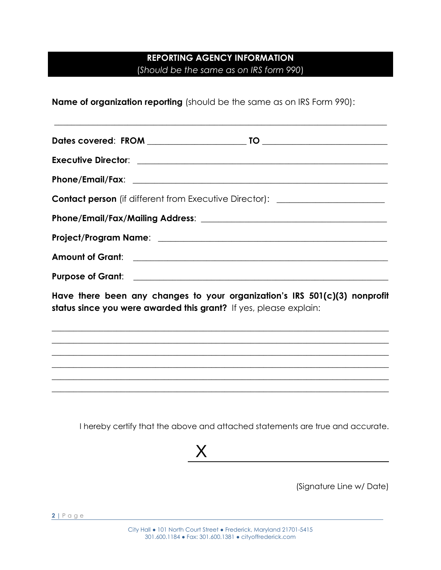### **REPORTING AGENCY INFORMATION** (*Should be the same as on IRS form 990*)

 $\_$  , and the set of the set of the set of the set of the set of the set of the set of the set of the set of the set of the set of the set of the set of the set of the set of the set of the set of the set of the set of th

**Name of organization reporting** (should be the same as on IRS Form 990):

| <b>Contact person</b> (if different from Executive Director): ________________________                                                          |
|-------------------------------------------------------------------------------------------------------------------------------------------------|
|                                                                                                                                                 |
|                                                                                                                                                 |
|                                                                                                                                                 |
|                                                                                                                                                 |
| Have there been any changes to your organization's IRS 501(c)(3) nonprofit<br>status since you were awarded this grant? If yes, please explain: |
|                                                                                                                                                 |
|                                                                                                                                                 |

 $\_$  , and the set of the set of the set of the set of the set of the set of the set of the set of the set of the set of the set of the set of the set of the set of the set of the set of the set of the set of the set of th  $\_$  , and the set of the set of the set of the set of the set of the set of the set of the set of the set of the set of the set of the set of the set of the set of the set of the set of the set of the set of the set of th  $\_$  , and the set of the set of the set of the set of the set of the set of the set of the set of the set of the set of the set of the set of the set of the set of the set of the set of the set of the set of the set of th

I hereby certify that the above and attached statements are true and accurate.



(Signature Line w/ Date)